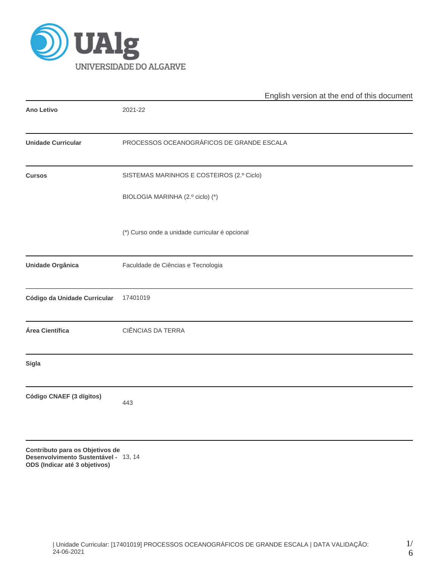

|                                                                         | English version at the end of this document    |
|-------------------------------------------------------------------------|------------------------------------------------|
| <b>Ano Letivo</b>                                                       | 2021-22                                        |
| <b>Unidade Curricular</b>                                               | PROCESSOS OCEANOGRÁFICOS DE GRANDE ESCALA      |
| <b>Cursos</b>                                                           | SISTEMAS MARINHOS E COSTEIROS (2.º Ciclo)      |
|                                                                         | BIOLOGIA MARINHA (2.º ciclo) (*)               |
|                                                                         | (*) Curso onde a unidade curricular é opcional |
| Unidade Orgânica                                                        | Faculdade de Ciências e Tecnologia             |
| Código da Unidade Curricular                                            | 17401019                                       |
| Área Científica                                                         | <b>CIÊNCIAS DA TERRA</b>                       |
| <b>Sigla</b>                                                            |                                                |
| Código CNAEF (3 dígitos)                                                | 443                                            |
| Contributo para os Objetivos de<br>Desenvolvimento Sustentável - 13, 14 |                                                |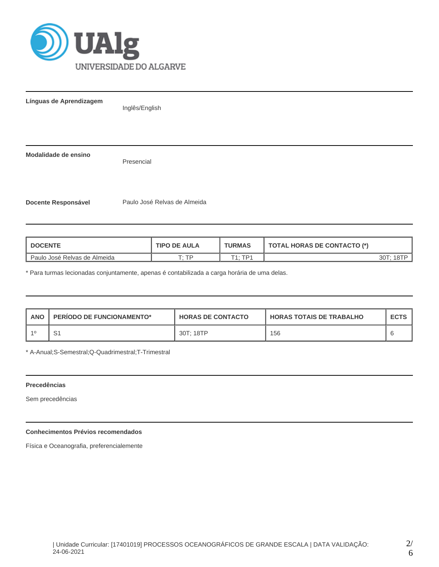

**Línguas de Aprendizagem**

Inglês/English

**Modalidade de ensino**

Presencial

**Docente Responsável** Paulo José Relvas de Almeida

| <b>DOCENTE</b>                 | <b>TIPO DE AULA</b> | <b>TURMAS</b> | <b>TOTAL HORAS DE CONTACTO (*)</b> |  |  |
|--------------------------------|---------------------|---------------|------------------------------------|--|--|
| I Paulo José Relvas de Almeida | тp                  | T4. TD4       | 30T <sup>.</sup>                   |  |  |

\* Para turmas lecionadas conjuntamente, apenas é contabilizada a carga horária de uma delas.

| <b>ANO</b> | <b>PERIODO DE FUNCIONAMENTO*</b> | <b>HORAS DE CONTACTO</b> | <b>I HORAS TOTAIS DE TRABALHO</b> | <b>ECTS</b> |
|------------|----------------------------------|--------------------------|-----------------------------------|-------------|
| -10        | וכ                               | 30T: 18TP                | 156                               |             |

\* A-Anual;S-Semestral;Q-Quadrimestral;T-Trimestral

### **Precedências**

Sem precedências

# **Conhecimentos Prévios recomendados**

Física e Oceanografia, preferencialemente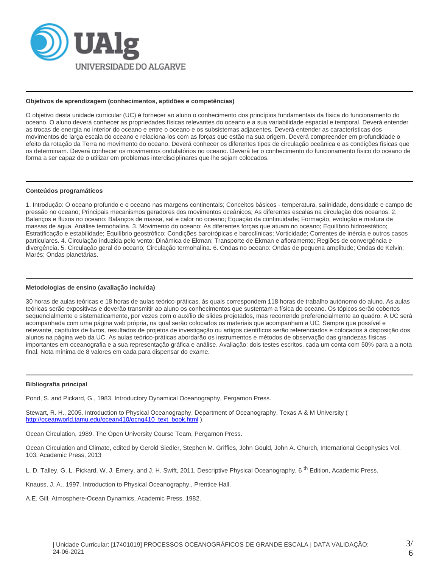

#### **Objetivos de aprendizagem (conhecimentos, aptidões e competências)**

O objetivo desta unidade curricular (UC) é fornecer ao aluno o conhecimento dos princípios fundamentais da física do funcionamento do oceano. O aluno deverá conhecer as propriedades físicas relevantes do oceano e a sua variabilidade espacial e temporal. Deverá entender as trocas de energia no interior do oceano e entre o oceano e os subsistemas adjacentes. Deverá entender as características dos movimentos de larga escala do oceano e relaciona-los com as forças que estão na sua origem. Deverá compreender em profundidade o efeito da rotação da Terra no movimento do oceano. Deverá conhecer os diferentes tipos de circulação oceânica e as condições físicas que os determinam. Deverá conhecer os movimentos ondulatórios no oceano. Deverá ter o conhecimento do funcionamento físico do oceano de forma a ser capaz de o utilizar em problemas interdisciplinares que lhe sejam colocados.

### **Conteúdos programáticos**

1. Introdução: O oceano profundo e o oceano nas margens continentais; Conceitos básicos - temperatura, salinidade, densidade e campo de pressão no oceano; Principais mecanismos geradores dos movimentos oceânicos; As diferentes escalas na circulação dos oceanos. 2. Balanços e fluxos no oceano: Balanços de massa, sal e calor no oceano; Equação da continuidade; Formação, evolução e mistura de massas de água. Análise termohalina. 3. Movimento do oceano: As diferentes forças que atuam no oceano; Equilíbrio hidroestático; Estratificação e estabilidade; Equilíbrio geostrófico; Condições barotrópicas e baroclínicas; Vorticidade; Correntes de inércia e outros casos particulares. 4. Circulação induzida pelo vento: Dinâmica de Ekman; Transporte de Ekman e afloramento; Regiões de convergência e divergência. 5. Circulação geral do oceano; Circulação termohalina. 6. Ondas no oceano: Ondas de pequena amplitude; Ondas de Kelvin; Marés; Ondas planetárias.

### **Metodologias de ensino (avaliação incluída)**

30 horas de aulas teóricas e 18 horas de aulas teórico-práticas, às quais correspondem 118 horas de trabalho autónomo do aluno. As aulas teóricas serão expositivas e deverão transmitir ao aluno os conhecimentos que sustentam a física do oceano. Os tópicos serão cobertos sequencialmente e sistematicamente, por vezes com o auxílio de slides projetados, mas recorrendo preferencialmente ao quadro. A UC será acompanhada com uma página web própria, na qual serão colocados os materiais que acompanham a UC. Sempre que possível e relevante, capítulos de livros, resultados de projetos de investigação ou artigos científicos serão referenciados e colocados à disposição dos alunos na página web da UC. As aulas teórico-práticas abordarão os instrumentos e métodos de observação das grandezas físicas importantes em oceanografia e a sua representação gráfica e análise. Avaliação: dois testes escritos, cada um conta com 50% para a a nota final. Nota mínima de 8 valores em cada para dispensar do exame.

#### **Bibliografia principal**

Pond, S. and Pickard, G., 1983. Introductory Dynamical Oceanography, Pergamon Press.

Stewart, R. H., 2005. Introduction to Physical Oceanography, Department of Oceanography, Texas A & M University ( [http://oceanworld.tamu.edu/ocean410/ocng410\\_text\\_book.html](http://oceanworld.tamu.edu/ocean410/ocng410_text_book.html) ).

Ocean Circulation, 1989. The Open University Course Team, Pergamon Press.

Ocean Circulation and Climate, edited by Gerold Siedler, Stephen M. Griffies, John Gould, John A. Church, International Geophysics Vol. 103, Academic Press, 2013

L. D. Talley, G. L. Pickard, W. J. Emery, and J. H. Swift, 2011. Descriptive Physical Oceanography, 6<sup>th</sup> Edition, Academic Press.

Knauss, J. A., 1997. Introduction to Physical Oceanography., Prentice Hall.

A.E. Gill, Atmosphere-Ocean Dynamics, Academic Press, 1982.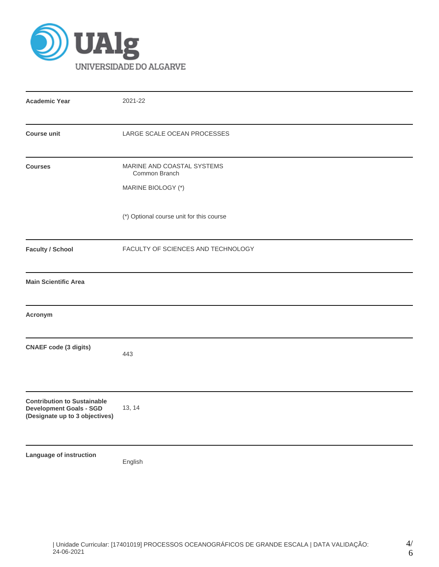

| <b>Academic Year</b>                                                                                   | 2021-22                                     |  |  |  |  |  |
|--------------------------------------------------------------------------------------------------------|---------------------------------------------|--|--|--|--|--|
| <b>Course unit</b>                                                                                     | LARGE SCALE OCEAN PROCESSES                 |  |  |  |  |  |
| <b>Courses</b>                                                                                         | MARINE AND COASTAL SYSTEMS<br>Common Branch |  |  |  |  |  |
|                                                                                                        | MARINE BIOLOGY (*)                          |  |  |  |  |  |
|                                                                                                        | (*) Optional course unit for this course    |  |  |  |  |  |
| <b>Faculty / School</b>                                                                                | FACULTY OF SCIENCES AND TECHNOLOGY          |  |  |  |  |  |
| <b>Main Scientific Area</b>                                                                            |                                             |  |  |  |  |  |
| Acronym                                                                                                |                                             |  |  |  |  |  |
| <b>CNAEF</b> code (3 digits)                                                                           | 443                                         |  |  |  |  |  |
| <b>Contribution to Sustainable</b><br><b>Development Goals - SGD</b><br>(Designate up to 3 objectives) | 13, 14                                      |  |  |  |  |  |
| Language of instruction                                                                                | English                                     |  |  |  |  |  |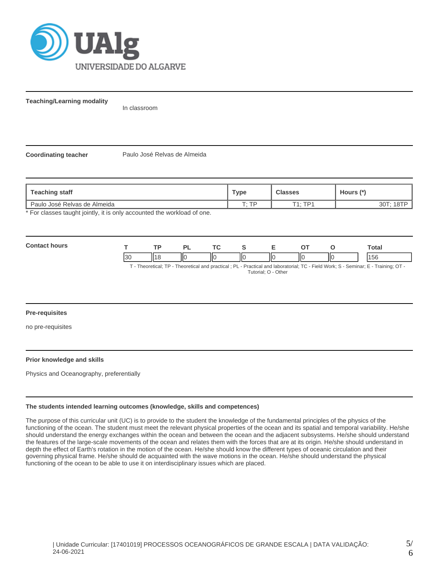

**Teaching/Learning modality**

In classroom

**Coordinating teacher** Paulo José Relvas de Almeida

| <b>Teaching staff</b>        | ™уре | <b>Classes</b> | Hours (*) |
|------------------------------|------|----------------|-----------|
| Paulo José Relvas de Almeida | ח ד  | $T1 \cdot TD1$ | ו טט      |

For classes taught jointly, it is only accounted the workload of one.

| Con | $\overline{\phantom{a}}$ |    | ום | <b>Trea</b> |    |    |     |     | Total     |
|-----|--------------------------|----|----|-------------|----|----|-----|-----|-----------|
|     | 30                       | н٠ | Ш  |             | IЮ | ШC | ll( | IІC | AET<br>Эt |

T - Theoretical; TP - Theoretical and practical ; PL - Practical and laboratorial; TC - Field Work; S - Seminar; E - Training; OT - Tutorial; O - Other

### **Pre-requisites**

no pre-requisites

### **Prior knowledge and skills**

Physics and Oceanography, preferentially

#### **The students intended learning outcomes (knowledge, skills and competences)**

The purpose of this curricular unit (UC) is to provide to the student the knowledge of the fundamental principles of the physics of the functioning of the ocean. The student must meet the relevant physical properties of the ocean and its spatial and temporal variability. He/she should understand the energy exchanges within the ocean and between the ocean and the adjacent subsystems. He/she should understand the features of the large-scale movements of the ocean and relates them with the forces that are at its origin. He/she should understand in depth the effect of Earth's rotation in the motion of the ocean. He/she should know the different types of oceanic circulation and their governing physical frame. He/she should de acquainted with the wave motions in the ocean. He/she should understand the physical functioning of the ocean to be able to use it on interdisciplinary issues which are placed.